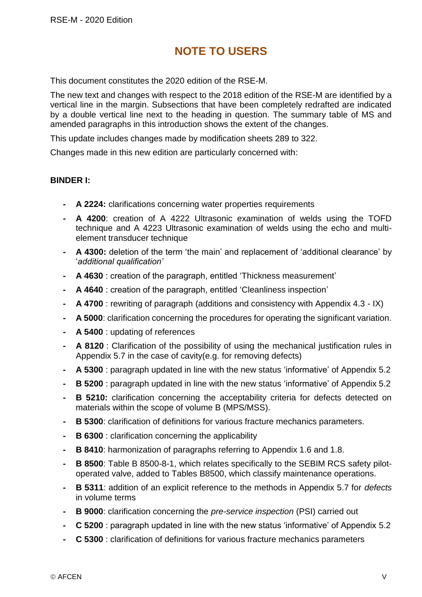## **NOTE TO USERS**

This document constitutes the 2020 edition of the RSE-M.

The new text and changes with respect to the 2018 edition of the RSE-M are identified by a vertical line in the margin. Subsections that have been completely redrafted are indicated by a double vertical line next to the heading in question. The summary table of MS and amended paragraphs in this introduction shows the extent of the changes.

This update includes changes made by modification sheets 289 to 322.

Changes made in this new edition are particularly concerned with:

## **BINDER I:**

- **- A 2224:** clarifications concerning water properties requirements
- **- A 4200**: creation of A 4222 Ultrasonic examination of welds using the TOFD technique and A 4223 Ultrasonic examination of welds using the echo and multielement transducer technique
- **- A 4300:** deletion of the term 'the main' and replacement of 'additional clearance' by '*additional qualification'*
- **- A 4630** : creation of the paragraph, entitled 'Thickness measurement'
- **- A 4640** : creation of the paragraph, entitled 'Cleanliness inspection'
- **- A 4700** : rewriting of paragraph (additions and consistency with Appendix 4.3 IX)
- **- A 5000**: clarification concerning the procedures for operating the significant variation.
- **- A 5400** : updating of references
- **- A 8120** : Clarification of the possibility of using the mechanical justification rules in Appendix 5.7 in the case of cavity(e.g. for removing defects)
- **- A 5300** : paragraph updated in line with the new status 'informative' of Appendix 5.2
- **- B 5200** : paragraph updated in line with the new status 'informative' of Appendix 5.2
- **B 5210:** clarification concerning the acceptability criteria for defects detected on materials within the scope of volume B (MPS/MSS).
- **- B 5300**: clarification of definitions for various fracture mechanics parameters.
- **- B 6300** : clarification concerning the applicability
- **- B 8410**: harmonization of paragraphs referring to Appendix 1.6 and 1.8.
- **- B 8500**: Table B 8500-8-1, which relates specifically to the SEBIM RCS safety pilotoperated valve, added to Tables B8500, which classify maintenance operations.
- **- B 5311**: addition of an explicit reference to the methods in Appendix 5.7 for *defects* in volume terms
- **- B 9000**: clarification concerning the *pre-service inspection* (PSI) carried out
- **- C 5200** : paragraph updated in line with the new status 'informative' of Appendix 5.2
- **- C 5300** : clarification of definitions for various fracture mechanics parameters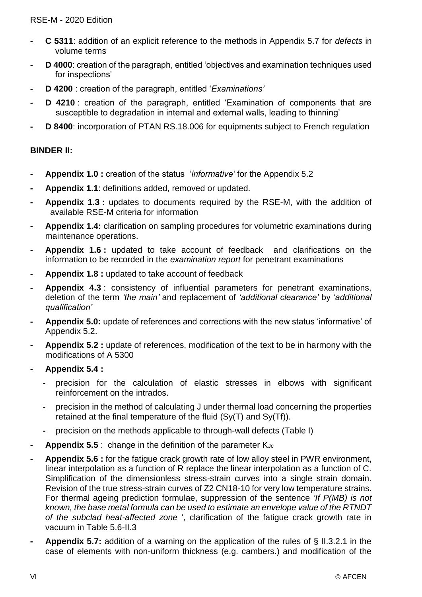- **- C 5311**: addition of an explicit reference to the methods in Appendix 5.7 for *defects* in volume terms
- **- D 4000**: creation of the paragraph, entitled 'objectives and examination techniques used for inspections'
- **- D 4200** : creation of the paragraph, entitled '*Examinations'*
- **D 4210**: creation of the paragraph, entitled 'Examination of components that are susceptible to degradation in internal and external walls, leading to thinning'
- **- D 8400**: incorporation of PTAN RS.18.006 for equipments subject to French regulation

## **BINDER II:**

- **- Appendix 1.0 :** creation of the status '*informative'* for the Appendix 5.2
- **- Appendix 1.1**: definitions added, removed or updated.
- **- Appendix 1.3 :** updates to documents required by the RSE-M, with the addition of available RSE-M criteria for information
- **- Appendix 1.4:** clarification on sampling procedures for volumetric examinations during maintenance operations.
- **- Appendix 1.6 :** updated to take account of feedback and clarifications on the information to be recorded in the *examination report* for penetrant examinations
- **- Appendix 1.8 :** updated to take account of feedback
- **- Appendix 4.3** : consistency of influential parameters for penetrant examinations, deletion of the term *'the main'* and replacement of *'additional clearance'* by '*additional qualification'*
- **- Appendix 5.0:** update of references and corrections with the new status 'informative' of Appendix 5.2.
- **- Appendix 5.2 :** update of references, modification of the text to be in harmony with the modifications of A 5300
- **- Appendix 5.4 :**
	- **-** precision for the calculation of elastic stresses in elbows with significant reinforcement on the intrados.
	- **-** precision in the method of calculating J under thermal load concerning the properties retained at the final temperature of the fluid (Sy(T) and Sy(Tf)).
	- **-** precision on the methods applicable to through-wall defects (Table I)
- **Appendix 5.5** : change in the definition of the parameter K<sub>Jc</sub>
- **- Appendix 5.6 :** for the fatigue crack growth rate of low alloy steel in PWR environment, linear interpolation as a function of R replace the linear interpolation as a function of C. Simplification of the dimensionless stress-strain curves into a single strain domain. Revision of the true stress-strain curves of Z2 CN18-10 for very low temperature strains. For thermal ageing prediction formulae, suppression of the sentence *'If P(MB) is not known, the base metal formula can be used to estimate an envelope value of the RTNDT of the subclad heat-affected zone* ', clarification of the fatigue crack growth rate in vacuum in Table 5.6-II.3
- **- Appendix 5.7:** addition of a warning on the application of the rules of § II.3.2.1 in the case of elements with non-uniform thickness (e.g. cambers.) and modification of the